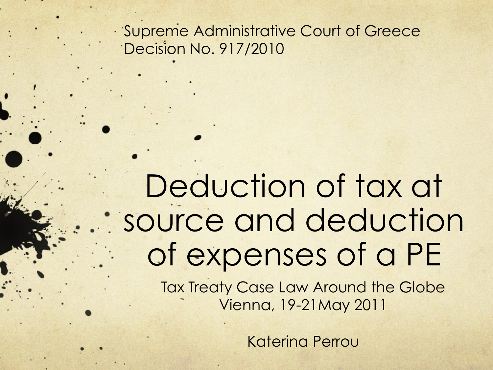Supreme Administrative Court of Greece Decision No. 917/2010

## Deduction of tax at source and deduction of expenses of a PE

Tax Treaty Case Law Around the Globe Vienna, 19-21May 2011

Katerina Perrou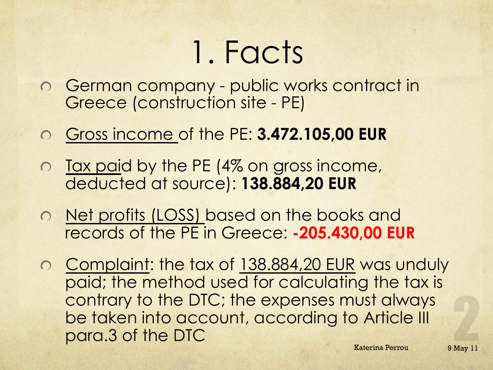## 1. Facts

- German company public works contract in Greece (construction site - PE)
- Gross income of the PE: **3.472.105,00 EUR**
- o Tax paid by the PE (4% on gross income, deducted at source): **138.884,20 EUR**
- o Net profits (LOSS) based on the books and records of the PE in Greece: **-205.430,00 EUR**
- Complaint: the tax of 138.884,20 EUR was unduly paid; the method used for calculating the tax is contrary to the DTC; the expenses must always be taken into account, according to Article III para.3 of the DTC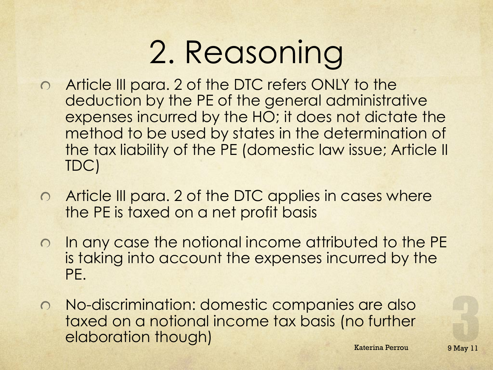## 2. Reasoning

- o Article III para. 2 of the DTC refers ONLY to the deduction by the PE of the general administrative expenses incurred by the HO; it does not dictate the method to be used by states in the determination of the tax liability of the PE (domestic law issue; Article II TDC)
- Article III para. 2 of the DTC applies in cases where  $\circ$ the PE is taxed on a net profit basis
- o In any case the notional income attributed to the PE is taking into account the expenses incurred by the PE.
- No-discrimination: domestic companies are also taxed on a notional income tax basis (no further elaboration though) Refering Perrou 9 May 11